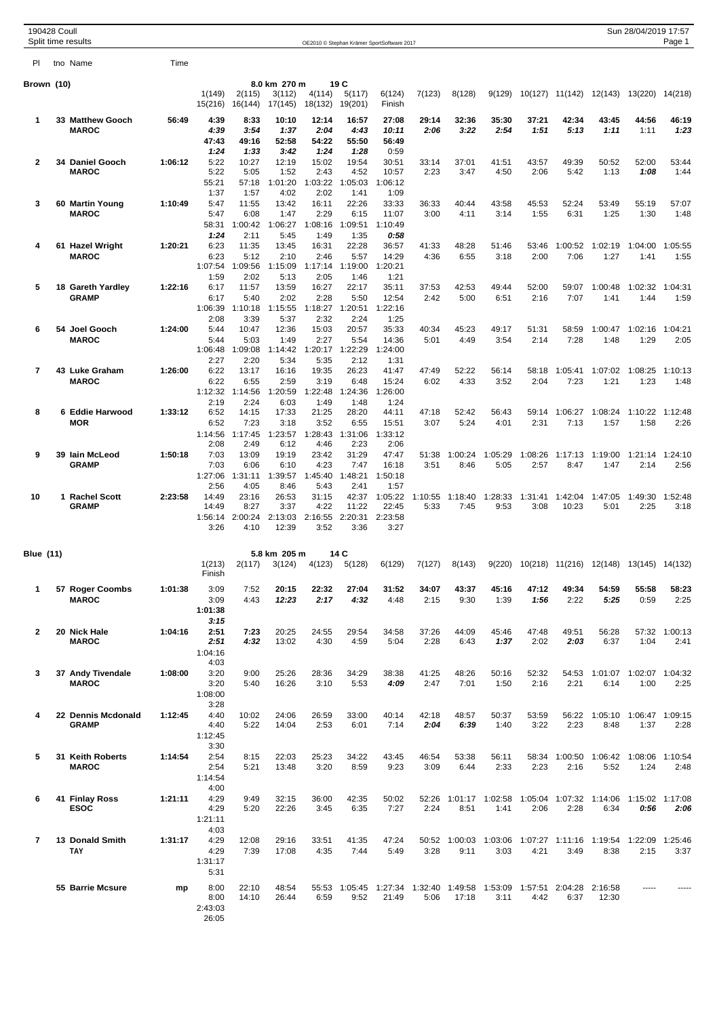| 190428 Coull   | Split time results                   |         |                                         |                                  |                                   |                                  |                                   |                                            |                 |                       |                                               |                 |                                 |                  | Sun 28/04/2019 17:57                    | Page 1          |
|----------------|--------------------------------------|---------|-----------------------------------------|----------------------------------|-----------------------------------|----------------------------------|-----------------------------------|--------------------------------------------|-----------------|-----------------------|-----------------------------------------------|-----------------|---------------------------------|------------------|-----------------------------------------|-----------------|
|                |                                      |         |                                         |                                  |                                   |                                  |                                   | OE2010 © Stephan Krämer SportSoftware 2017 |                 |                       |                                               |                 |                                 |                  |                                         |                 |
| PI.            | tno Name                             | Time    |                                         |                                  |                                   |                                  |                                   |                                            |                 |                       |                                               |                 |                                 |                  |                                         |                 |
| Brown (10)     |                                      |         | 1(149)<br>15(216)                       | 2(115)<br>16(144)                | 8.0 km 270 m<br>3(112)<br>17(145) | 4(114)<br>18(132)                | 19 C<br>5(117)<br>19(201)         | 6(124)<br>Finish                           | 7(123)          | 8(128)                | 9(129)                                        |                 | 10(127) 11(142)                 | 12(143)          | 13(220) 14(218)                         |                 |
| 1              | 33 Matthew Gooch<br><b>MAROC</b>     | 56:49   | 4:39<br>4:39<br>47:43                   | 8:33<br>3:54<br>49:16            | 10:10<br>1:37<br>52:58            | 12:14<br>2:04<br>54:22           | 16:57<br>4:43<br>55:50            | 27:08<br>10:11<br>56:49                    | 29:14<br>2:06   | 32:36<br>3:22         | 35:30<br>2:54                                 | 37:21<br>1:51   | 42:34<br>5:13                   | 43:45<br>1:11    | 44:56<br>1:11                           | 46:19<br>1:23   |
| 2              | 34 Daniel Gooch<br><b>MAROC</b>      | 1:06:12 | 1:24<br>5:22<br>5:22<br>55:21           | 1:33<br>10:27<br>5:05<br>57:18   | 3:42<br>12:19<br>1:52<br>1:01:20  | 1:24<br>15:02<br>2:43<br>1:03:22 | 1:28<br>19:54<br>4:52<br>1:05:03  | 0:59<br>30:51<br>10:57<br>1:06:12          | 33:14<br>2:23   | 37:01<br>3:47         | 41:51<br>4:50                                 | 43:57<br>2:06   | 49:39<br>5:42                   | 50:52<br>1:13    | 52:00<br>1:08                           | 53:44<br>1:44   |
| 3              | 60 Martin Young<br><b>MAROC</b>      | 1:10:49 | 1:37<br>5:47<br>5:47                    | 1:57<br>11:55<br>6:08            | 4:02<br>13:42<br>1:47             | 2:02<br>16:11<br>2:29            | 1:41<br>22:26<br>6:15             | 1:09<br>33:33<br>11:07                     | 36:33<br>3:00   | 40:44<br>4:11         | 43:58<br>3:14                                 | 45:53<br>1:55   | 52:24<br>6:31                   | 53:49<br>1:25    | 55:19<br>1:30                           | 57:07<br>1:48   |
| 4              | 61 Hazel Wright<br><b>MAROC</b>      | 1:20:21 | 58:31<br>1:24<br>6:23<br>6:23           | 1:00:42<br>2:11<br>11:35<br>5:12 | 1:06:27<br>5:45<br>13:45<br>2:10  | 1:08:16<br>1:49<br>16:31<br>2:46 | 1:09:51<br>1:35<br>22:28<br>5:57  | 1:10:49<br>0:58<br>36:57<br>14:29          | 41:33<br>4:36   | 48:28<br>6:55         | 51:46<br>3:18                                 | 53:46<br>2:00   | 1:00:52<br>7:06                 | 1:02:19<br>1:27  | 1:04:00<br>1:41                         | 1:05:55<br>1:55 |
| 5              | 18 Gareth Yardley<br><b>GRAMP</b>    | 1:22:16 | 1:07:54<br>1:59<br>6:17<br>6:17         | 1:09:56<br>2:02<br>11:57<br>5:40 | 1:15:09<br>5:13<br>13:59<br>2:02  | 1:17:14<br>2:05<br>16:27<br>2:28 | 1:19:00<br>1:46<br>22:17<br>5:50  | 1:20:21<br>1:21<br>35:11<br>12:54          | 37:53<br>2:42   | 42:53<br>5:00         | 49:44<br>6:51                                 | 52:00<br>2:16   | 59:07<br>7:07                   | 1:00:48<br>1:41  | 1:02:32<br>1:44                         | 1:04:31<br>1:59 |
| 6              | 54 Joel Gooch                        | 1:24:00 | 1:06:39<br>2:08<br>5:44                 | 1:10:18<br>3:39<br>10:47         | 1:15:55<br>5:37<br>12:36          | 1:18:27<br>2:32<br>15:03         | 1:20:51<br>2:24<br>20:57          | 1:22:16<br>1:25<br>35:33                   | 40:34           | 45:23                 | 49:17                                         | 51:31           | 58:59                           | 1:00:47          | 1:02:16                                 | 1:04:21         |
| 7              | <b>MAROC</b><br>43 Luke Graham       | 1:26:00 | 5:44<br>1:06:48<br>2:27<br>6:22         | 5:03<br>1:09:08<br>2:20<br>13:17 | 1:49<br>1:14:42<br>5:34<br>16:16  | 2:27<br>1:20:17<br>5:35<br>19:35 | 5:54<br>1:22:29<br>2:12<br>26:23  | 14:36<br>1:24:00<br>1:31<br>41:47          | 5:01<br>47:49   | 4:49<br>52:22         | 3:54<br>56:14                                 | 2:14<br>58:18   | 7:28<br>1:05:41                 | 1:48<br>1:07:02  | 1:29<br>1:08:25                         | 2:05<br>1:10:13 |
|                | <b>MAROC</b>                         |         | 6:22<br>1:12:32<br>2:19                 | 6:55<br>1:14:56<br>2:24          | 2:59<br>1:20:59<br>6:03           | 3:19<br>1:22:48<br>1:49          | 6:48<br>1:24:36<br>1:48           | 15:24<br>1:26:00<br>1:24                   | 6:02            | 4:33                  | 3:52                                          | 2:04            | 7:23                            | 1:21             | 1:23                                    | 1:48            |
| 8              | 6 Eddie Harwood<br><b>MOR</b>        | 1:33:12 | 6:52<br>6:52<br>1:14:56<br>2:08         | 14:15<br>7:23<br>1:17:45<br>2:49 | 17:33<br>3:18<br>1:23:57<br>6:12  | 21:25<br>3:52<br>1:28:43<br>4:46 | 28:20<br>6:55<br>1:31:06<br>2:23  | 44:11<br>15:51<br>1:33:12<br>2:06          | 47:18<br>3:07   | 52:42<br>5:24         | 56:43<br>4:01                                 | 59:14<br>2:31   | 1:06:27<br>7:13                 | 1:08:24<br>1:57  | 1:10:22<br>1:58                         | 1:12:48<br>2:26 |
| 9              | 39 Iain McLeod<br><b>GRAMP</b>       | 1:50:18 | 7:03<br>7:03<br>1:27:06<br>2:56         | 13:09<br>6:06<br>1:31:11<br>4:05 | 19:19<br>6:10<br>1:39:57<br>8:46  | 23:42<br>4:23<br>1:45:40<br>5:43 | 31:29<br>7:47<br>1:48:21<br>2:41  | 47:47<br>16:18<br>1:50:18<br>1:57          | 51:38<br>3:51   | 1:00:24<br>8:46       | 1:05:29<br>5:05                               | 1:08:26<br>2:57 | 1:17:13<br>8:47                 | 1:19:00<br>1:47  | 1:21:14<br>2:14                         | 1:24:10<br>2:56 |
| 10             | 1 Rachel Scott<br><b>GRAMP</b>       | 2:23:58 | 14:49<br>14:49<br>1:56:14<br>3:26       | 23:16<br>8:27<br>2:00:24<br>4:10 | 26:53<br>3:37<br>2:13:03<br>12:39 | 31:15<br>4:22<br>2:16:55<br>3:52 | 42:37<br>11:22<br>2:20:31<br>3:36 | 1:05:22<br>22:45<br>2:23:58<br>3:27        | 1:10:55<br>5:33 | 1:18:40<br>7:45       | 1:28:33<br>9:53                               | 1:31:41<br>3:08 | 1:42:04<br>10:23                | 1:47:05<br>5:01  | 1:49:30 1:52:48<br>2:25                 | 3:18            |
| Blue (11)      |                                      |         | 1(213)<br>Finish                        | 2(117)                           | 5.8 km 205 m<br>3(124)            | 4(123)                           | 14 C<br>5(128)                    | 6(129)                                     | 7(127)          | 8(143)                | 9(220)                                        |                 |                                 |                  | 10(218) 11(216) 12(148) 13(145) 14(132) |                 |
| 1              | 57 Roger Coombs<br><b>MAROC</b>      | 1:01:38 | 3:09<br>3:09<br>1:01:38                 | 7:52<br>4:43                     | 20:15<br>12:23                    | 22:32<br>2:17                    | 27:04<br>4:32                     | 31:52<br>4:48                              | 34:07<br>2:15   | 43:37<br>9:30         | 45:16<br>1:39                                 | 47:12<br>1:56   | 49:34<br>2:22                   | 54:59<br>5:25    | 55:58<br>0:59                           | 58:23<br>2:25   |
| $\mathbf{2}$   | 20 Nick Hale<br><b>MAROC</b>         | 1:04:16 | 3:15<br>2:51<br>2:51<br>1:04:16         | 7:23<br>4:32                     | 20:25<br>13:02                    | 24:55<br>4:30                    | 29:54<br>4:59                     | 34:58<br>5:04                              | 37:26<br>2:28   | 44:09<br>6:43         | 45:46<br>1:37                                 | 47:48<br>2:02   | 49:51<br>2:03                   | 56:28<br>6:37    | 57:32<br>1:04                           | 1:00:13<br>2:41 |
| 3              | 37 Andy Tivendale<br><b>MAROC</b>    | 1:08:00 | 4:03<br>3:20<br>3:20<br>1:08:00         | 9:00<br>5:40                     | 25:26<br>16:26                    | 28:36<br>3:10                    | 34:29<br>5:53                     | 38:38<br>4:09                              | 41:25<br>2:47   | 48:26<br>7:01         | 50:16<br>1:50                                 | 52:32<br>2:16   | 54:53<br>2:21                   | 1:01:07<br>6:14  | 1:02:07 1:04:32<br>1:00                 | 2:25            |
| 4              | 22 Dennis Mcdonald<br><b>GRAMP</b>   | 1:12:45 | 3:28<br>4:40<br>4:40<br>1:12:45         | 10:02<br>5:22                    | 24:06<br>14:04                    | 26:59<br>2:53                    | 33:00<br>6:01                     | 40:14<br>7:14                              | 42:18<br>2:04   | 48:57<br>6:39         | 50:37<br>1:40                                 | 53:59<br>3:22   | 56:22<br>2:23                   | 1:05:10<br>8:48  | 1:06:47 1:09:15<br>1:37                 | 2:28            |
| 5              | 31 Keith Roberts<br><b>MAROC</b>     | 1:14:54 | 3:30<br>2:54<br>2:54<br>1:14:54         | 8:15<br>5:21                     | 22:03<br>13:48                    | 25:23<br>3:20                    | 34:22<br>8:59                     | 43:45<br>9:23                              | 46:54<br>3:09   | 53:38<br>6:44         | 56:11<br>2:33                                 | 2:23            | 58:34 1:00:50<br>2:16           | 1:06:42<br>5:52  | 1:08:06 1:10:54<br>1:24                 | 2:48            |
| 6              | 41 Finlay Ross<br><b>ESOC</b>        | 1:21:11 | 4:00<br>4:29<br>4:29<br>1:21:11         | 9:49<br>5:20                     | 32:15<br>22:26                    | 36:00<br>3:45                    | 42:35<br>6:35                     | 50:02<br>7:27                              | 2:24            | 52:26 1:01:17<br>8:51 | 1:02:58<br>1:41                               | 2:06            | 1:05:04 1:07:32 1:14:06<br>2:28 | 6:34             | 1:15:02 1:17:08<br>0:56                 | 2:06            |
| $\overline{7}$ | <b>13 Donald Smith</b><br><b>TAY</b> | 1:31:17 | 4:03<br>4:29<br>4:29<br>1:31:17<br>5:31 | 12:08<br>7:39                    | 29:16<br>17:08                    | 33:51<br>4:35                    | 41:35<br>7:44                     | 47:24<br>5:49                              | 3:28            | 9:11                  | 50:52 1:00:03 1:03:06 1:07:27 1:11:16<br>3:03 | 4:21            | 3:49                            | 1:19:54<br>8:38  | 1:22:09 1:25:46<br>2:15                 | 3:37            |
|                | 55 Barrie Mcsure                     | mp      | 8:00<br>8:00<br>2:43:03<br>26:05        | 22:10<br>14:10                   | 48:54<br>26:44                    | 6:59                             | 55:53 1:05:45<br>9:52             | 1:27:34<br>21:49                           | 1:32:40<br>5:06 | 1:49:58<br>17:18      | 1:53:09<br>3:11                               | 1:57:51<br>4:42 | 2:04:28<br>6:37                 | 2:16:58<br>12:30 |                                         |                 |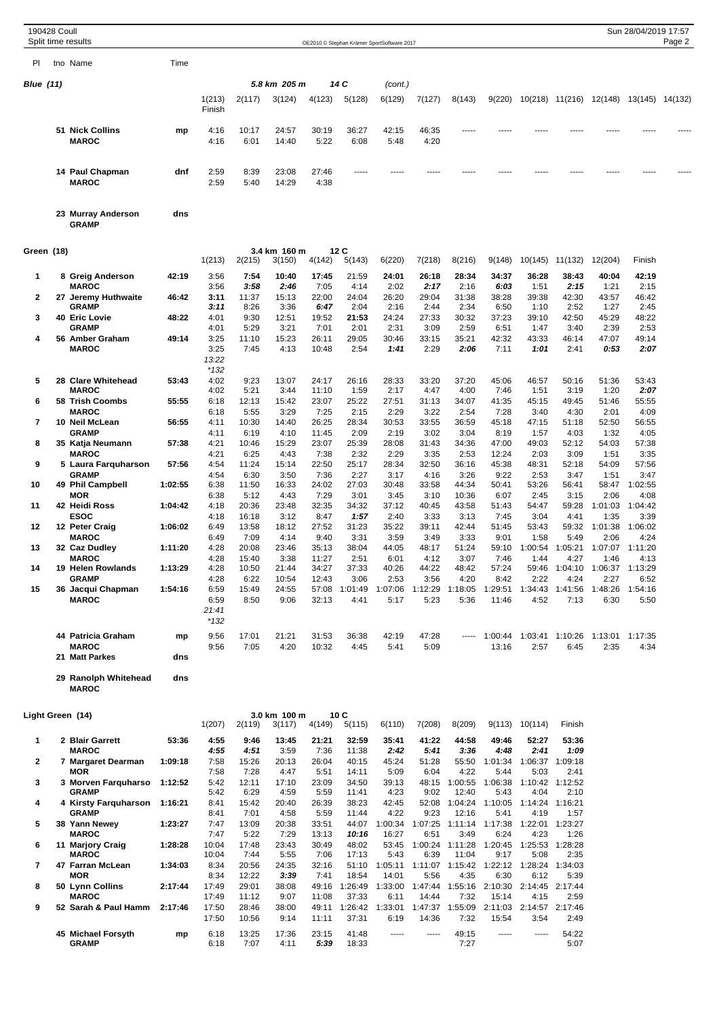|                  | 190428 Coull | Split time results                     |         |                                 |                |                        |                |                  | OE2010 © Stephan Krämer SportSoftware 2017 |                 |                                                 |                  |                                 |                         |                                         | Sun 28/04/2019 17:57 | Page 2 |
|------------------|--------------|----------------------------------------|---------|---------------------------------|----------------|------------------------|----------------|------------------|--------------------------------------------|-----------------|-------------------------------------------------|------------------|---------------------------------|-------------------------|-----------------------------------------|----------------------|--------|
| PI               |              | tno Name                               | Time    |                                 |                |                        |                |                  |                                            |                 |                                                 |                  |                                 |                         |                                         |                      |        |
| <b>Blue (11)</b> |              |                                        |         |                                 |                | 5.8 km 205 m           |                | 14 C             | (cont.)                                    |                 |                                                 |                  |                                 |                         |                                         |                      |        |
|                  |              |                                        |         | 1(213)<br>Finish                | 2(117)         | 3(124)                 | 4(123)         | 5(128)           | 6(129)                                     | 7(127)          | 8(143)                                          | 9(220)           |                                 |                         | 10(218) 11(216) 12(148) 13(145) 14(132) |                      |        |
|                  |              | <b>51 Nick Collins</b><br><b>MAROC</b> | mp      | 4:16<br>4:16                    | 10:17<br>6:01  | 24:57<br>14:40         | 30:19<br>5:22  | 36:27<br>6:08    | 42:15<br>5:48                              | 46:35<br>4:20   | -----                                           |                  |                                 |                         |                                         |                      |        |
|                  |              | 14 Paul Chapman<br><b>MAROC</b>        | dnf     | 2:59<br>2:59                    | 8:39<br>5:40   | 23:08<br>14:29         | 27:46<br>4:38  |                  |                                            |                 |                                                 |                  |                                 |                         |                                         |                      |        |
|                  |              | 23 Murray Anderson<br><b>GRAMP</b>     | dns     |                                 |                |                        |                |                  |                                            |                 |                                                 |                  |                                 |                         |                                         |                      |        |
| Green (18)       |              |                                        |         | 1(213)                          | 2(215)         | 3.4 km 160 m<br>3(150) | 4(142)         | 12C<br>5(143)    | 6(220)                                     | 7(218)          | 8(216)                                          | 9(148)           |                                 | 10(145) 11(132)         | 12(204)                                 | Finish               |        |
| 1                |              | 8 Greig Anderson                       | 42:19   | 3:56                            | 7:54           | 10:40                  | 17:45          | 21:59            | 24:01                                      | 26:18           | 28:34                                           | 34:37            | 36:28                           | 38:43                   | 40:04                                   | 42:19                |        |
| 2                |              | <b>MAROC</b><br>27 Jeremy Huthwaite    | 46:42   | 3:56<br>3:11                    | 3:58<br>11:37  | 2:46<br>15:13          | 7:05<br>22:00  | 4:14<br>24:04    | 2:02<br>26:20                              | 2:17<br>29:04   | 2:16<br>31:38                                   | 6.03<br>38:28    | 1:51<br>39:38                   | 2:15<br>42:30           | 1:21<br>43:57                           | 2:15<br>46:42        |        |
| 3                |              | <b>GRAMP</b><br>40 Eric Lovie          | 48:22   | 3:11<br>4:01                    | 8:26<br>9:30   | 3:36<br>12:51          | 6:47<br>19:52  | 2:04<br>21:53    | 2:16<br>24:24                              | 2:44<br>27:33   | 2:34<br>30:32                                   | 6:50<br>37:23    | 1:10<br>39:10                   | 2:52<br>42:50           | 1:27<br>45:29                           | 2:45<br>48:22        |        |
| 4                |              | <b>GRAMP</b><br>56 Amber Graham        | 49:14   | 4:01<br>3:25                    | 5:29<br>11:10  | 3:21<br>15:23          | 7:01<br>26:11  | 2:01<br>29:05    | 2:31<br>30:46                              | 3:09<br>33:15   | 2:59<br>35:21                                   | 6:51<br>42:32    | 1:47<br>43:33                   | 3:40<br>46:14           | 2:39<br>47:07                           | 2:53<br>49:14        |        |
|                  |              | <b>MAROC</b>                           |         | 3:25<br>13:22<br>$*132$         | 7:45           | 4:13                   | 10:48          | 2:54             | 1:41                                       | 2:29            | 2:06                                            | 7:11             | 1:01                            | 2:41                    | 0:53                                    | 2:07                 |        |
| 5                |              | 28 Clare Whitehead<br><b>MAROC</b>     | 53:43   | 4:02<br>4:02                    | 9:23<br>5:21   | 13:07<br>3:44          | 24:17<br>11:10 | 26:16<br>1:59    | 28:33<br>2:17                              | 33:20<br>4:47   | 37:20<br>4:00                                   | 45:06<br>7:46    | 46:57<br>1:51                   | 50:16<br>3:19           | 51:36<br>1:20                           | 53:43<br>2:07        |        |
| 6                |              | 58 Trish Coombs                        | 55:55   | 6:18                            | 12:13          | 15:42                  | 23:07          | 25:22            | 27:51                                      | 31:13           | 34:07                                           | 41:35            | 45:15                           | 49:45                   | 51:46                                   | 55:55                |        |
| $\overline{7}$   |              | <b>MAROC</b><br>10 Neil McLean         | 56:55   | 6:18<br>4:11                    | 5:55<br>10:30  | 3:29<br>14:40          | 7:25<br>26:25  | 2:15<br>28:34    | 2:29<br>30:53                              | 3:22<br>33:55   | 2:54<br>36:59                                   | 7:28<br>45:18    | 3:40<br>47:15                   | 4:30<br>51:18           | 2:01<br>52:50                           | 4:09<br>56:55        |        |
| 8                |              | <b>GRAMP</b><br>35 Katja Neumann       | 57:38   | 4:11<br>4:21                    | 6:19<br>10:46  | 4:10<br>15:29          | 11:45<br>23:07 | 2:09<br>25:39    | 2:19<br>28:08                              | 3:02<br>31:43   | 3:04<br>34:36                                   | 8:19<br>47:00    | 1:57<br>49:03                   | 4:03<br>52:12           | 1:32<br>54:03                           | 4:05<br>57:38        |        |
| 9                |              | <b>MAROC</b><br>5 Laura Farquharson    | 57:56   | 4:21<br>4:54                    | 6:25<br>11:24  | 4:43<br>15:14          | 7:38<br>22:50  | 2:32<br>25:17    | 2:29<br>28:34                              | 3:35<br>32:50   | 2:53<br>36:16                                   | 12:24<br>45:38   | 2:03<br>48:31                   | 3:09<br>52:18           | 1:51<br>54:09                           | 3:35<br>57:56        |        |
| 10               |              | <b>GRAMP</b><br>49 Phil Campbell       | 1:02:55 | 4:54<br>6:38                    | 6:30<br>11:50  | 3:50<br>16:33          | 7:36<br>24:02  | 2:27<br>27:03    | 3:17<br>30:48                              | 4:16<br>33:58   | 3:26<br>44:34                                   | 9:22<br>50:41    | 2:53<br>53:26                   | 3:47<br>56:41           | 1:51<br>58:47                           | 3:47<br>1:02:55      |        |
| 11               |              | <b>MOR</b><br>42 Heidi Ross            | 1:04:42 | 6:38<br>4:18                    | 5:12<br>20:36  | 4:43<br>23:48          | 7:29<br>32:35  | 3:01<br>34:32    | 3:45<br>37:12                              | 3:10<br>40:45   | 10:36<br>43:58                                  | 6:07<br>51:43    | 2:45<br>54:47                   | 3:15<br>59:28           | 2:06<br>1:01:03                         | 4:08<br>1:04:42      |        |
| 12               |              | <b>ESOC</b>                            | 1:06:02 | 4:18<br>6:49                    | 16:18<br>13:58 | 3:12<br>18:12          | 8:47<br>27:52  | 1:57<br>31:23    | 2:40<br>35:22                              | 3:33<br>39:11   | 3:13<br>42:44                                   | 7:45<br>51:45    | 3:04<br>53:43                   | 4:41<br>59:32           | 1:35<br>1:01:38                         | 3:39<br>1:06:02      |        |
|                  |              | 12 Peter Craig<br><b>MAROC</b>         |         | 6:49                            | 7:09           | 4:14                   | 9:40           | 3:31             | 3:59                                       | 3:49            | 3:33                                            | 9:01             | 1:58                            | 5:49                    | 2:06                                    | 4:24                 |        |
| 13               |              | 32 Caz Dudley<br><b>MAROC</b>          | 1:11:20 | 4:28<br>4:28                    | 20:08<br>15:40 | 23:46<br>3:38          | 35:13<br>11:27 | 38:04<br>2:51    | 44:05<br>6:01                              | 48:17<br>4:12   | 51:24<br>3:07                                   | 59:10<br>7:46    | 1:00:54<br>1:44                 | 1:05:21<br>4:27         | 1:07:07<br>1:46                         | 1:11:20<br>4:13      |        |
| 14               |              | 19 Helen Rowlands<br><b>GRAMP</b>      | 1:13:29 | 4:28<br>4:28                    | 10:50<br>6:22  | 21:44<br>10:54         | 34:27<br>12:43 | 37:33<br>3:06    | 40:26<br>2:53                              | 44:22<br>3:56   | 48:42<br>4:20                                   | 57:24<br>8:42    | 2:22                            | 4:24                    | 59:46 1:04:10 1:06:37 1:13:29<br>2:27   | 6:52                 |        |
| 15               |              | 36 Jacqui Chapman<br><b>MAROC</b>      | 1:54:16 | 6:59<br>6:59<br>21:41<br>$*132$ | 15:49<br>8:50  | 24:55<br>9:06          | 57:08<br>32:13 | 1:01:49<br>4:41  | 1:07:06<br>5:17                            | 1:12:29<br>5:23 | 1:18:05<br>5:36                                 | 1:29:51<br>11:46 | 1:34:43<br>4:52                 | 1:41:56<br>7:13         | 1:48:26<br>6:30                         | 1:54:16<br>5:50      |        |
|                  |              | 44 Patricia Graham<br><b>MAROC</b>     | mp      | 9:56<br>9:56                    | 17:01<br>7:05  | 21:21<br>4:20          | 31:53<br>10:32 | 36:38<br>4:45    | 42:19<br>5:41                              | 47:28<br>5:09   | -----                                           | 1:00:44<br>13:16 | 2:57                            | 1:03:41 1:10:26<br>6:45 | 1:13:01<br>2:35                         | 1:17:35<br>4:34      |        |
|                  |              | 21 Matt Parkes                         | dns     |                                 |                |                        |                |                  |                                            |                 |                                                 |                  |                                 |                         |                                         |                      |        |
|                  |              | 29 Ranolph Whitehead<br><b>MAROC</b>   | dns     |                                 |                |                        |                |                  |                                            |                 |                                                 |                  |                                 |                         |                                         |                      |        |
|                  |              | Light Green (14)                       |         | 1(207)                          | 2(119)         | 3.0 km 100 m<br>3(117) | 4(149)         | 10C<br>5(115)    | 6(110)                                     | 7(208)          | 8(209)                                          |                  | 9(113) 10(114)                  | Finish                  |                                         |                      |        |
| 1                |              | 2 Blair Garrett<br><b>MAROC</b>        | 53:36   | 4:55                            | 9:46<br>4:51   | 13:45<br>3:59          | 21:21<br>7:36  | 32:59            | 35:41                                      | 41:22<br>5:41   | 44:58<br>3:36                                   | 49:46<br>4:48    | 52:27<br>2:41                   | 53:36<br>1:09           |                                         |                      |        |
| 2                |              | 7 Margaret Dearman                     | 1:09:18 | 4:55<br>7:58                    | 15:26          | 20:13                  | 26:04          | 11:38<br>40:15   | 2:42<br>45:24                              | 51:28           | 55:50                                           | 1:01:34          |                                 | 1:06:37 1:09:18         |                                         |                      |        |
| 3                |              | <b>MOR</b><br>3 Morven Farquharso      | 1:12:52 | 7:58<br>5:42                    | 7:28<br>12:11  | 4:47<br>17:10          | 5:51<br>23:09  | 14:11<br>34:50   | 5:09<br>39:13                              | 6:04<br>48:15   | 4:22<br>1:00:55                                 | 5:44<br>1:06:38  | 5:03                            | 2:41<br>1:10:42 1:12:52 |                                         |                      |        |
| 4                |              | <b>GRAMP</b><br>4 Kirsty Farquharson   | 1:16:21 | 5:42<br>8:41                    | 6:29<br>15:42  | 4:59<br>20:40          | 5:59<br>26:39  | 11:41<br>38:23   | 4:23<br>42:45                              | 9:02<br>52:08   | 12:40<br>1:04:24                                | 5:43<br>1:10:05  | 4:04                            | 2:10<br>1:14:24 1:16:21 |                                         |                      |        |
| 5                |              | <b>GRAMP</b><br>38 Yann Newey          | 1:23:27 | 8:41<br>7:47                    | 7:01<br>13:09  | 4:58<br>20:38          | 5:59<br>33:51  | 11:44<br>44:07   | 4:22<br>1:00:34                            | 9:23<br>1:07:25 | 12:16<br>1:11:14                                | 5:41<br>1:17:38  | 4:19                            | 1:57<br>1:22:01 1:23:27 |                                         |                      |        |
| 6                |              | <b>MAROC</b><br>11 Marjory Craig       | 1:28:28 | 7:47<br>10:04                   | 5:22<br>17:48  | 7:29<br>23:43          | 13:13<br>30:49 | 10:16<br>48:02   | 16:27<br>53:45                             | 6:51<br>1:00:24 | 3:49<br>1:11:28                                 | 6:24<br>1:20:45  | 4:23                            | 1:26<br>1:25:53 1:28:28 |                                         |                      |        |
| $\overline{7}$   |              | <b>MAROC</b><br>47 Farran McLean       | 1:34:03 | 10:04<br>8:34                   | 7:44<br>20:56  | 5:55<br>24:35          | 7:06<br>32:16  | 17:13<br>51:10   | 5:43<br>1:05:11                            | 6:39<br>1:11:07 | 11:04<br>1:15:42                                | 9:17             | 5:08<br>1:22:12 1:28:24 1:34:03 | 2:35                    |                                         |                      |        |
|                  |              | <b>MOR</b>                             |         | 8:34                            | 12:22          | 3:39                   | 7:41           | 18:54            | 14:01                                      | 5:56            | 4:35                                            | 6:30             | 6:12                            | 5:39                    |                                         |                      |        |
| 8                |              | 50 Lynn Collins<br><b>MAROC</b>        | 2:17:44 | 17:49<br>17:49                  | 29:01<br>11:12 | 38:08<br>9:07          | 49:16<br>11:08 | 1:26:49<br>37:33 | 1:33:00<br>6:11                            | 14:44           | 1:47:44 1:55:16 2:10:30 2:14:45 2:17:44<br>7:32 | 15:14            | 4:15                            | 2:59                    |                                         |                      |        |
| 9                |              | 52 Sarah & Paul Hamm                   | 2:17:46 | 17:50<br>17:50                  | 28:46<br>10:56 | 38:00<br>9:14          | 49:11<br>11:11 | 37:31            | 1:26:42 1:33:01<br>6:19                    | 14:36           | 1:47:37 1:55:09<br>7:32                         | 15:54            | 2:11:03 2:14:57 2:17:46<br>3:54 | 2:49                    |                                         |                      |        |
|                  |              | 45 Michael Forsyth<br><b>GRAMP</b>     | mp      | 6:18<br>6:18                    | 13:25<br>7:07  | 17:36<br>4:11          | 23:15<br>5:39  | 41:48<br>18:33   | $- - - - -$                                | $- - - - -$     | 49:15<br>7:27                                   | $- - - - -$      | -----                           | 54:22<br>5:07           |                                         |                      |        |